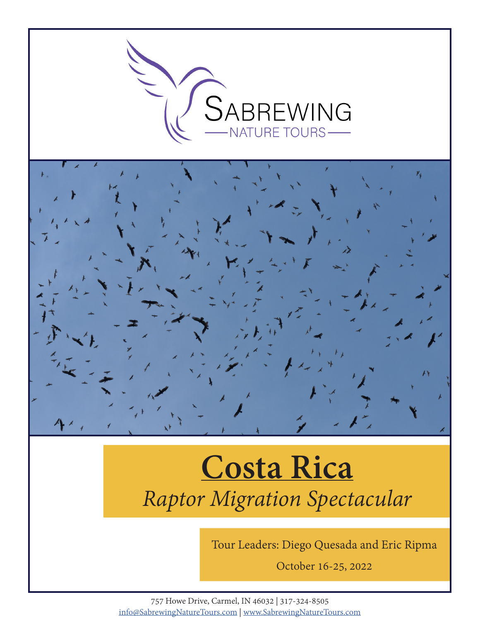

# **Costa Rica** *Raptor Migration Spectacular*

Tour Leaders: Diego Quesada and Eric Ripma

October 16-25, 2022

757 Howe Drive, Carmel, IN 46032 | 317-324-8505 info@SabrewingNatureTours.com | www.SabrewingNatureTours.com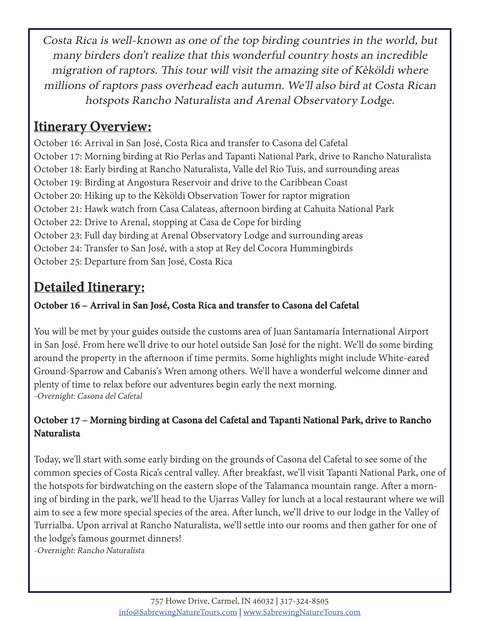Costa Rica is well-known as one of the top birding countries in the world, but many birders don't realize that this wonderful country hosts an incredible migration of raptors. This tour will visit the amazing site of Kèköldi where millions of raptors pass overhead each autumn. We'll also bird at Costa Rican hotspots Rancho Naturalista and Arenal Observatory Lodge.

# **Itinerary Overview:**

October 16: Arrival in San José, Costa Rica and transfer to Casona del Cafetal October 17: Morning birding at Rio Perlas and Tapanti National Park, drive to Rancho Naturalista October 18: Early birding at Rancho Naturalista, Valle del Rio Tuis, and surrounding areas October 19: Birding at Angostura Reservoir and drive to the Caribbean Coast October 20: Hiking up to the Kèköldi Observation Tower for raptor migration October 21: Hawk watch from Casa Calateas, afternoon birding at Cahuita National Park October 22: Drive to Arenal, stopping at Casa de Cope for birding October 23: Full day birding at Arenal Observatory Lodge and surrounding areas October 24: Transfer to San José, with a stop at Rey del Cocora Hummingbirds October 25: Departure from San José, Costa Rica

# **Detailed Itinerary:**

#### **October 16 – Arrival in San José, Costa Rica and transfer to Casona del Cafetal**

You will be met by your guides outside the customs area of Juan Santamaría International Airport in San José. From here we'll drive to our hotel outside San José for the night. We'll do some birding around the property in the afternoon if time permits. Some highlights might include White-eared Ground-Sparrow and Cabanis's Wren among others. We'll have a wonderful welcome dinner and plenty of time to relax before our adventures begin early the next morning. -Overnight: Casona del Cafetal

#### **October 17 – Morning birding at Casona del Cafetal and Tapanti National Park, drive to Rancho Naturalista**

Today, we'll start with some early birding on the grounds of Casona del Cafetal to see some of the common species of Costa Rica's central valley. After breakfast, we'll visit Tapanti National Park, one of the hotspots for birdwatching on the eastern slope of the Talamanca mountain range. After a morning of birding in the park, we'll head to the Ujarras Valley for lunch at a local restaurant where we will aim to see a few more special species of the area. After lunch, we'll drive to our lodge in the Valley of Turrialba. Upon arrival at Rancho Naturalista, we'll settle into our rooms and then gather for one of the lodge's famous gourmet dinners!

-Overnight: Rancho Naturalista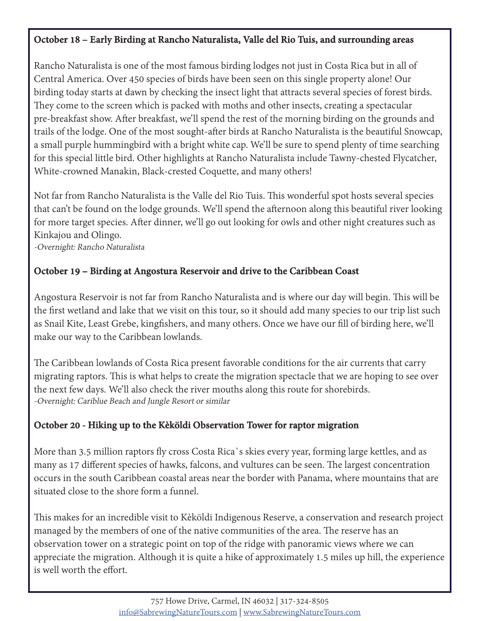#### **October 18 – Early Birding at Rancho Naturalista, Valle del Rio Tuis, and surrounding areas**

Rancho Naturalista is one of the most famous birding lodges not just in Costa Rica but in all of Central America. Over 450 species of birds have been seen on this single property alone! Our birding today starts at dawn by checking the insect light that attracts several species of forest birds. They come to the screen which is packed with moths and other insects, creating a spectacular pre-breakfast show. After breakfast, we'll spend the rest of the morning birding on the grounds and trails of the lodge. One of the most sought-after birds at Rancho Naturalista is the beautiful Snowcap, a small purple hummingbird with a bright white cap. We'll be sure to spend plenty of time searching for this special little bird. Other highlights at Rancho Naturalista include Tawny-chested Flycatcher, White-crowned Manakin, Black-crested Coquette, and many others!

Not far from Rancho Naturalista is the Valle del Rio Tuis. This wonderful spot hosts several species that can't be found on the lodge grounds. We'll spend the afternoon along this beautiful river looking for more target species. After dinner, we'll go out looking for owls and other night creatures such as Kinkajou and Olingo.

-Overnight: Rancho Naturalista

#### **October 19 – Birding at Angostura Reservoir and drive to the Caribbean Coast**

Angostura Reservoir is not far from Rancho Naturalista and is where our day will begin. This will be the first wetland and lake that we visit on this tour, so it should add many species to our trip list such as Snail Kite, Least Grebe, kingfishers, and many others. Once we have our fill of birding here, we'll make our way to the Caribbean lowlands.

The Caribbean lowlands of Costa Rica present favorable conditions for the air currents that carry migrating raptors. This is what helps to create the migration spectacle that we are hoping to see over the next few days. We'll also check the river mouths along this route for shorebirds. -Overnight: Cariblue Beach and Jungle Resort or similar

#### **October 20 - Hiking up to the Kèköldi Observation Tower for raptor migration**

More than 3.5 million raptors fly cross Costa Rica`s skies every year, forming large kettles, and as many as 17 different species of hawks, falcons, and vultures can be seen. The largest concentration occurs in the south Caribbean coastal areas near the border with Panama, where mountains that are situated close to the shore form a funnel.

This makes for an incredible visit to Kèköldi Indigenous Reserve, a conservation and research project managed by the members of one of the native communities of the area. The reserve has an observation tower on a strategic point on top of the ridge with panoramic views where we can appreciate the migration. Although it is quite a hike of approximately 1.5 miles up hill, the experience is well worth the effort.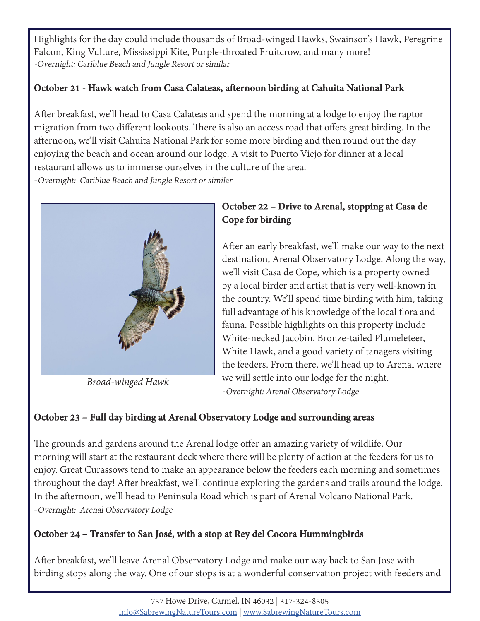Highlights for the day could include thousands of Broad-winged Hawks, Swainson's Hawk, Peregrine Falcon, King Vulture, Mississippi Kite, Purple-throated Fruitcrow, and many more! -Overnight: Cariblue Beach and Jungle Resort or similar

#### **October 21 - Hawk watch from Casa Calateas, afternoon birding at Cahuita National Park**

After breakfast, we'll head to Casa Calateas and spend the morning at a lodge to enjoy the raptor migration from two different lookouts. There is also an access road that offers great birding. In the afternoon, we'll visit Cahuita National Park for some more birding and then round out the day enjoying the beach and ocean around our lodge. A visit to Puerto Viejo for dinner at a local restaurant allows us to immerse ourselves in the culture of the area.

-Overnight: Cariblue Beach and Jungle Resort or similar



*Broad-winged Hawk*

#### **October 22 – Drive to Arenal, stopping at Casa de Cope for birding**

After an early breakfast, we'll make our way to the next destination, Arenal Observatory Lodge. Along the way, we'll visit Casa de Cope, which is a property owned by a local birder and artist that is very well-known in the country. We'll spend time birding with him, taking full advantage of his knowledge of the local flora and fauna. Possible highlights on this property include White-necked Jacobin, Bronze-tailed Plumeleteer, White Hawk, and a good variety of tanagers visiting the feeders. From there, we'll head up to Arenal where we will settle into our lodge for the night. -Overnight: Arenal Observatory Lodge

#### **October 23 – Full day birding at Arenal Observatory Lodge and surrounding areas**

The grounds and gardens around the Arenal lodge offer an amazing variety of wildlife. Our morning will start at the restaurant deck where there will be plenty of action at the feeders for us to enjoy. Great Curassows tend to make an appearance below the feeders each morning and sometimes throughout the day! After breakfast, we'll continue exploring the gardens and trails around the lodge. In the afternoon, we'll head to Peninsula Road which is part of Arenal Volcano National Park. -Overnight: Arenal Observatory Lodge

#### **October 24 – Transfer to San José, with a stop at Rey del Cocora Hummingbirds**

After breakfast, we'll leave Arenal Observatory Lodge and make our way back to San Jose with birding stops along the way. One of our stops is at a wonderful conservation project with feeders and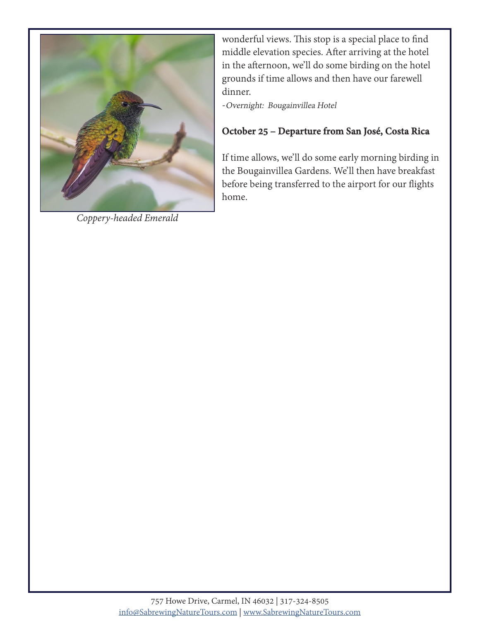

*Coppery-headed Emerald*

wonderful views. This stop is a special place to find middle elevation species. After arriving at the hotel in the afternoon, we'll do some birding on the hotel grounds if time allows and then have our farewell dinner.

-Overnight: Bougainvillea Hotel

#### **October 25 – Departure from San José, Costa Rica**

If time allows, we'll do some early morning birding in the Bougainvillea Gardens. We'll then have breakfast before being transferred to the airport for our flights home.